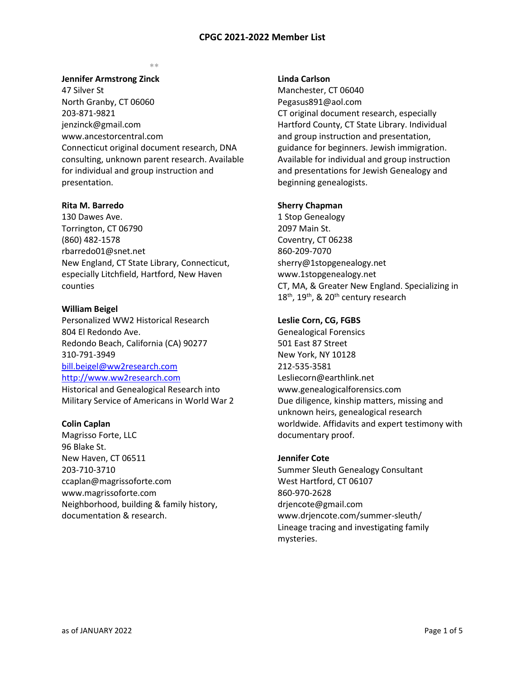#### **\*\***

#### **Jennifer Armstrong Zinck**

47 Silver St North Granby, CT 06060 203-871-9821 [jenzinck@gmail.com](mailto:jenzinck@gmail.com) [www.ancestorcentral.com](http://www.ancestorcentral.com/) Connecticut original document research, DNA consulting, unknown parent research. Available for individual and group instruction and presentation.

#### **Rita M. Barredo**

130 Dawes Ave. Torrington, CT 06790 (860) 482-1578 [rbarredo01@snet.net](mailto:rbarredo01@snet.net) New England, CT State Library, Connecticut, especially Litchfield, Hartford, New Haven counties

#### **William Beigel**

Personalized WW2 Historical Research 804 El Redondo Ave. Redondo Beach, California (CA) 90277 310-791-3949 [bill.beigel@ww2research.com](mailto:bill.beigel@ww2research.com) [http://www.ww2research.com](http://www.ww2research.com/) Historical and Genealogical Research into Military Service of Americans in World War 2

#### **Colin Caplan**

Magrisso Forte, LLC 96 Blake St. New Haven, CT 06511 203-710-3710 ccaplan@magrissoforte.com www.magrissoforte.com Neighborhood, building & family history, documentation & research.

#### **Linda Carlson**

Manchester, CT 06040 [Pegasus891@aol.com](mailto:Pegasus891@aol.com) CT original document research, especially Hartford County, CT State Library. Individual and group instruction and presentation, guidance for beginners. Jewish immigration. Available for individual and group instruction and presentations for Jewish Genealogy and beginning genealogists.

#### **Sherry Chapman**

1 Stop Genealogy 2097 Main St. Coventry, CT 06238 860-209-7070 [sherry@1stopgenealogy.net](mailto:Sherry1chapman@yahoo.com) [www.1stopgenealogy.net](http://1stopgenealogy.net/) CT, MA, & Greater New England. Specializing in  $18<sup>th</sup>$ ,  $19<sup>th</sup>$ , &  $20<sup>th</sup>$  century research

### **Leslie Corn, CG, FGBS**

Genealogical Forensics 501 East 87 Street New York, NY 10128 212-535-3581 [Lesliecorn@earthlink.net](mailto:Lesliecorn@earthlink.net) [www.genealogicalforensics.com](http://www.genealogicalforensics.com/) Due diligence, kinship matters, missing and unknown heirs, genealogical research worldwide. Affidavits and expert testimony with documentary proof.

### **Jennifer Cote**

Summer Sleuth Genealogy Consultant West Hartford, CT 06107 860-970-2628 drjencote@gmail.com www.drjencote.com/summer-sleuth/ Lineage tracing and investigating family mysteries.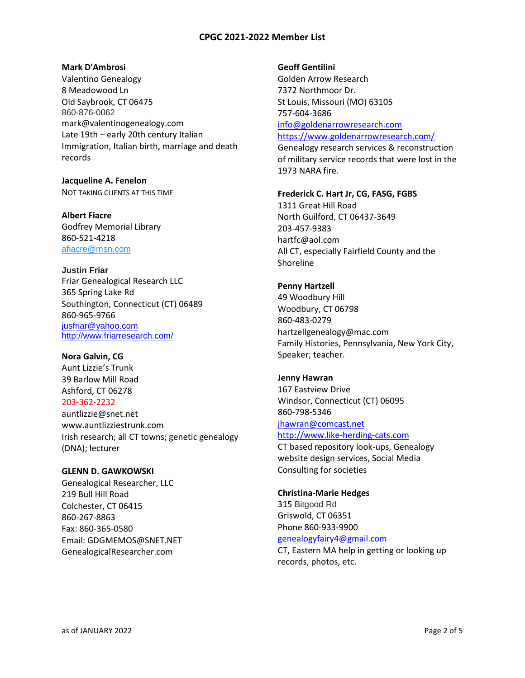### **Mark D'Ambrosi**

Valentino Genealogy 8 Meadowood Ln Old Saybrook, CT 06475 860-876-0062 mark@valentinogenealogy.com Late 19th – early 20th century Italian Immigration, Italian birth, marriage and death records

**Jacqueline A. Fenelon** NOT TAKING CLIENTS AT THIS TIME

**Albert Fiacre** Godfrey Memorial Library 860-521-4218 [afiacre@msn.com](mailto:afiacre@msn.com)

**Justin Friar** Friar Genealogical Research LLC 365 Spring Lake Rd Southington, Connecticut (CT) 06489 860-965-9766 [jusfriar@yahoo.com](mailto:jusfriar@yahoo.com) <http://www.friarresearch.com/>

**Nora Galvin, CG** Aunt Lizzie's Trunk 39 Barlow Mill Road Ashford, CT 06278 203-362-2232 [auntlizzie@snet.net](mailto:auntlizzie@snet.net) [www.auntlizziestrunk.com](http://www.auntlizziestrunk.com/) Irish research; all CT towns; genetic genealogy (DNA); lecturer

## **GLENN D. GAWKOWSKI**

Genealogical Researcher, LLC 219 Bull Hill Road Colchester, CT 06415 860-267-8863 Fax: 860-365-0580 Email: [GDGMEMOS@SNET.NET](mailto:GDGMEMOS@SNET.NET) GenealogicalResearcher.com

### **Geoff Gentilini**

1973 NARA fire.

Golden Arrow Research 7372 Northmoor Dr. St Louis, Missouri (MO) 63105 757-604-3686 [info@goldenarrowresearch.com](mailto:info@goldenarrowresearch.com) <https://www.goldenarrowresearch.com/> Genealogy research services & reconstruction of military service records that were lost in the

**Frederick C. Hart Jr, CG, FASG, FGBS**

1311 Great Hill Road North Guilford, CT 06437-3649 203-457-9383 [hartfc@aol.com](mailto:hartfc@aol.com) All CT, especially Fairfield County and the Shoreline

## **Penny Hartzell**

49 Woodbury Hill Woodbury, CT 06798 860-483-0279 [hartzellgenealogy@mac.com](mailto:hartzellgenealogy@mac.com) Family Histories, Pennsylvania, New York City, Speaker; teacher.

### **Jenny Hawran**

167 Eastview Drive Windsor, Connecticut (CT) 06095 860-798-5346 [jhawran@comcast.net](mailto:jhawran@comcast.net) [http://www.like-herding-cats.com](http://www.like-herding-cats.com/) CT based repository look-ups, Genealogy

website design services, Social Media Consulting for societies

### **Christina-Marie Hedges**

315 Bitgood Rd Griswold, CT 06351 Phone 860-933-9900 [genealogyfairy4@gmail.com](mailto:genealogyfairy4@gmail.com)

CT, Eastern MA help in getting or looking up records, photos, etc.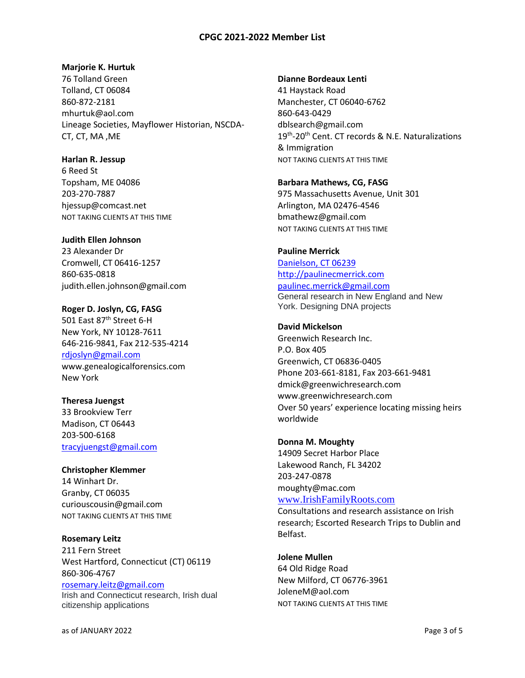# **Marjorie K. Hurtuk**

76 Tolland Green Tolland, CT 06084 860-872-2181 [mhurtuk@aol.com](mailto:mhurtuk@aol.com) Lineage Societies, Mayflower Historian, NSCDA-CT, CT, MA ,ME

# **Harlan R. Jessup**

6 Reed St Topsham, ME 04086 203-270-7887 [hjessup@comcast.net](mailto:hjessup@charter.net) NOT TAKING CLIENTS AT THIS TIME

# **Judith Ellen Johnson**

23 Alexander Dr Cromwell, CT 06416-1257 860-635-0818 [judith.ellen.johnson@gmail.com](mailto:judith.ellen.johnson@gmail.com)

**Roger D. Joslyn, CG, FASG** 501 East 87<sup>th</sup> Street 6-H New York, NY 10128-7611 646-216-9841, Fax 212-535-4214 [rdjoslyn@gmail.com](mailto:rdjoslyn@gmail.com) [www.genealogicalforensics.com](http://www.genealogicalforensics.com/) New York

**Theresa Juengst** 33 Brookview Terr Madison, CT 06443 203-500-6168 [tracyjuengst@gmail.com](mailto:tracyjuengst@gmail.com)

**Christopher Klemmer** 14 Winhart Dr. Granby, CT 06035 [curiouscousin@gmail.com](mailto:curiouscousin@gmail.com) NOT TAKING CLIENTS AT THIS TIME

**Rosemary Leitz** 211 Fern Street West Hartford, Connecticut (CT) 06119 860-306-4767

[rosemary.leitz@gmail.com](mailto:rosemary.leitz@gmail.com) Irish and Connecticut research, Irish dual citizenship applications

## **Dianne Bordeaux Lenti**

41 Haystack Road Manchester, CT 06040-6762 860-643-0429 dblsearch@gmail.com 19<sup>th</sup>-20<sup>th</sup> Cent. CT records & N.E. Naturalizations & Immigration NOT TAKING CLIENTS AT THIS TIME

## **Barbara Mathews, CG, FASG**

975 Massachusetts Avenue, Unit 301 Arlington, MA 02476-4546 bmathewz@gmail.com NOT TAKING CLIENTS AT THIS TIME

# **Pauline Merrick**

Danielson, CT 06239 [http://paulinecmerrick.com](http://paulinecmerrick.com/) [paulinec.merrick@gmail.com](mailto:paulinec.merrick@gmail.com) General research in New England and New York. Designing DNA projects

## **David Mickelson**

Greenwich Research Inc. P.O. Box 405 Greenwich, CT 06836-0405 Phone 203-661-8181, Fax 203-661-9481 [dmick@greenwichresearch.com](mailto:dmick@greenwichresearch.com) [www.greenwichresearch.com](http://www.greenwichresearch.com/) Over 50 years' experience locating missing heirs worldwide

### **Donna M. Moughty**

14909 Secret Harbor Place Lakewood Ranch, FL 34202 203-247-0878 [moughty@mac.com](mailto:moughty@mac.com) [www.IrishFamilyRoots.com](http://www.irishfamilyroots.com/)

Consultations and research assistance on Irish research; Escorted Research Trips to Dublin and Belfast.

# **Jolene Mullen**

64 Old Ridge Road New Milford, CT 06776-3961 [JoleneM@aol.com](mailto:JoleneM@aol.com) NOT TAKING CLIENTS AT THIS TIME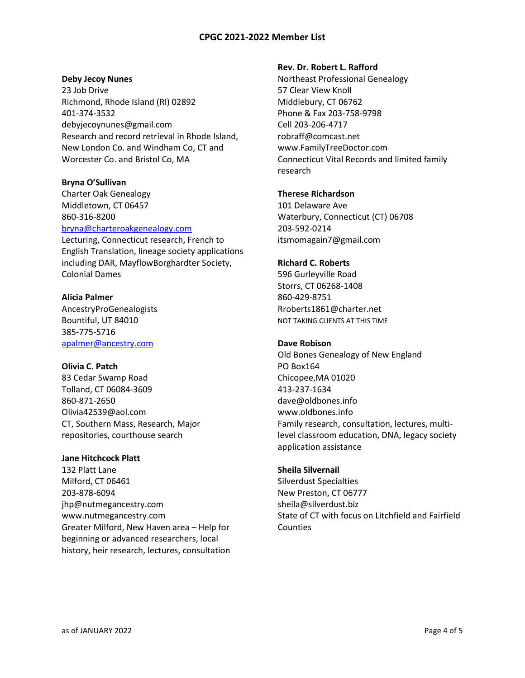### **Deby Jecoy Nunes**

23 Job Drive Richmond, Rhode Island (RI) 02892 401-374-3532 debyjecoynunes@gmail.com Research and record retrieval in Rhode Island, New London Co. and Windham Co, CT and Worcester Co. and Bristol Co, MA

## **Bryna O'Sullivan**

Charter Oak Genealogy Middletown, CT 06457 860-316-8200 [bryna@charteroakgenealogy.com](mailto:bryna@charteroakgenealogy.com)

Lecturing, Connecticut research, French to English Translation, lineage society applications including DAR, MayflowBorghardter Society, Colonial Dames

# **Alicia Palmer**

AncestryProGenealogists Bountiful, UT 84010 385-775-5716 [apalmer@ancestry.com](mailto:apalmer@ancestry.com)

# **Olivia C. Patch**

83 Cedar Swamp Road Tolland, CT 06084-3609 860-871-2650 [Olivia42539@aol.com](mailto:Olivia42539@aol.com) CT, Southern Mass, Research, Major repositories, courthouse search

### **Jane Hitchcock Platt**

132 Platt Lane Milford, CT 06461 203-878-6094 [jhp@nutmegancestry.com](mailto:jhp@nutmegancestry.com) [www.nutmegancestry.com](http://www.nutmegancestry.com/) Greater Milford, New Haven area – Help for beginning or advanced researchers, local history, heir research, lectures, consultation

### **Rev. Dr. Robert L. Rafford**

Northeast Professional Genealogy 57 Clear View Knoll Middlebury, CT 06762 Phone & Fax 203-758-9798 Cell 203-206-4717 robraff@comcast.net [www.FamilyTreeDoctor.com](http://www.familytreedoctor.com/) Connecticut Vital Records and limited family research

# **Therese Richardson**

101 Delaware Ave Waterbury, Connecticut (CT) 06708 203-592-0214 itsmomagain7@gmail.com

## **Richard C. Roberts**

596 Gurleyville Road Storrs, CT 06268-1408 860-429-8751 [Rroberts1861@charter.net](mailto:Rroberts1861@charter.net) NOT TAKING CLIENTS AT THIS TIME

# **Dave Robison**

Old Bones Genealogy of New England PO Box164 Chicopee,MA 01020 413-237-1634 dave@oldbones.info www.oldbones.info Family research, consultation, lectures, multilevel classroom education, DNA, legacy society application assistance

### **Sheila Silvernail**

Silverdust Specialties New Preston, CT 06777 [sheila@silverdust.biz](mailto:sheila@silverdust.biz) State of CT with focus on Litchfield and Fairfield Counties